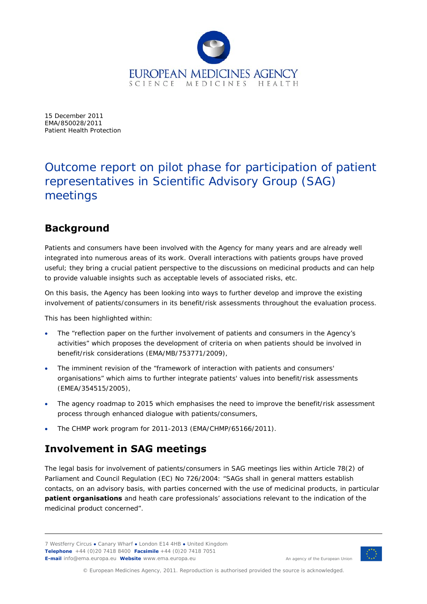

15 December 2011 EMA/850028/2011 Patient Health Protection

# Outcome report on pilot phase for participation of patient representatives in Scientific Advisory Group (SAG) meetings

# **Background**

Patients and consumers have been involved with the Agency for many years and are already well integrated into numerous areas of its work. Overall interactions with patients groups have proved useful; they bring a crucial patient perspective to the discussions on medicinal products and can help to provide valuable insights such as acceptable levels of associated risks, etc.

On this basis, the Agency has been looking into ways to further develop and improve the existing involvement of patients/consumers in its benefit/risk assessments throughout the evaluation process.

This has been highlighted within:

- The "reflection paper on the further involvement of patients and consumers in the Agency's activities" which proposes the development of criteria on when patients should be involved in benefit/risk considerations (EMA/MB/753771/2009),
- The imminent revision of the "framework of interaction with patients and consumers' organisations" which aims to further integrate patients' values into benefit/risk assessments (EMEA/354515/2005),
- The agency roadmap to 2015 which emphasises the need to improve the benefit/risk assessment process through enhanced dialogue with patients/consumers,
- The CHMP work program for 2011-2013 (EMA/CHMP/65166/2011).

# **Involvement in SAG meetings**

The legal basis for involvement of patients/consumers in SAG meetings lies within Article 78(2) of Parliament and Council Regulation (EC) No 726/2004: "SAGs shall in general matters establish contacts, on an advisory basis, with parties concerned with the use of medicinal products, in particular **patient organisations** and heath care professionals' associations relevant to the indication of the medicinal product concerned".

<sup>7</sup> Westferry Circus **●** Canary Wharf **●** London E14 4HB **●** United Kingdom **Telephone** +44 (0)20 7418 8400 **Facsimile** +44 (0)20 7418 7051 **E-mail** info@ema.europa.eu **Website** www.ema.europa.eu **An agency of the European Union** 



© European Medicines Agency, 2011. Reproduction is authorised provided the source is acknowledged.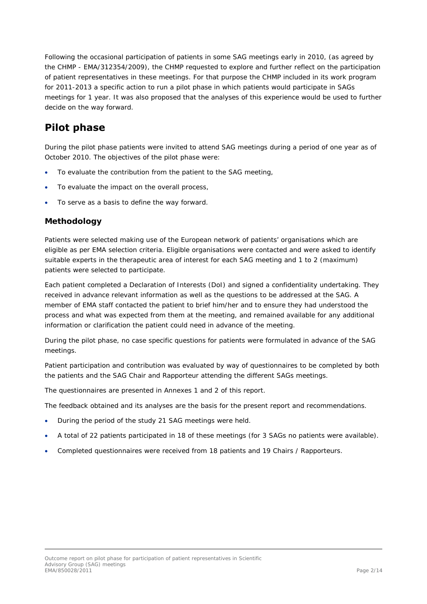Following the occasional participation of patients in some SAG meetings early in 2010, (as agreed by the CHMP - EMA/312354/2009), the CHMP requested to explore and further reflect on the participation of patient representatives in these meetings. For that purpose the CHMP included in its work program for 2011-2013 a specific action to run a pilot phase in which patients would participate in SAGs meetings for 1 year. It was also proposed that the analyses of this experience would be used to further decide on the way forward.

# **Pilot phase**

During the pilot phase patients were invited to attend SAG meetings during a period of one year as of October 2010. The objectives of the pilot phase were:

- To evaluate the contribution from the patient to the SAG meeting,
- To evaluate the impact on the overall process,
- To serve as a basis to define the way forward.

## *Methodology*

Patients were selected making use of the European network of patients' organisations which are eligible as per EMA selection criteria. Eligible organisations were contacted and were asked to identify suitable experts in the therapeutic area of interest for each SAG meeting and 1 to 2 (maximum) patients were selected to participate.

Each patient completed a Declaration of Interests (DoI) and signed a confidentiality undertaking. They received in advance relevant information as well as the questions to be addressed at the SAG. A member of EMA staff contacted the patient to brief him/her and to ensure they had understood the process and what was expected from them at the meeting, and remained available for any additional information or clarification the patient could need in advance of the meeting.

During the pilot phase, no case specific questions for patients were formulated in advance of the SAG meetings.

Patient participation and contribution was evaluated by way of questionnaires to be completed by both the patients and the SAG Chair and Rapporteur attending the different SAGs meetings.

The questionnaires are presented in Annexes 1 and 2 of this report.

The feedback obtained and its analyses are the basis for the present report and recommendations.

- During the period of the study 21 SAG meetings were held.
- A total of 22 patients participated in 18 of these meetings (for 3 SAGs no patients were available).
- Completed questionnaires were received from 18 patients and 19 Chairs / Rapporteurs.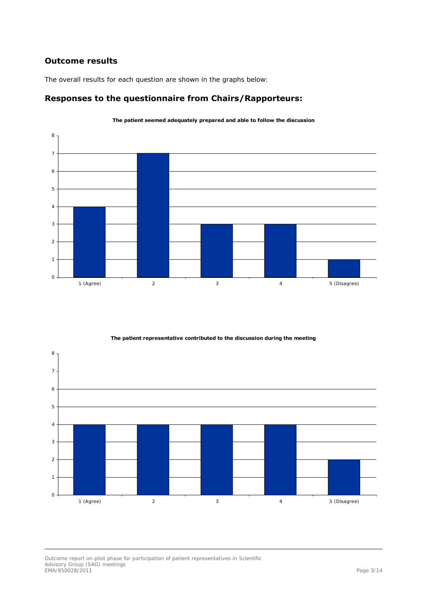# *Outcome results*

The overall results for each question are shown in the graphs below:

# **Responses to the questionnaire from Chairs/Rapporteurs:**



**The patient seemed adequately prepared and able to follow the discussion**

**The patient representative contributed to the discussion during the meeting**



Outcome report on pilot phase for participation of patient representatives in Scientific Advisory Group (SAG) meetings EMA/850028/2011 Page 3/14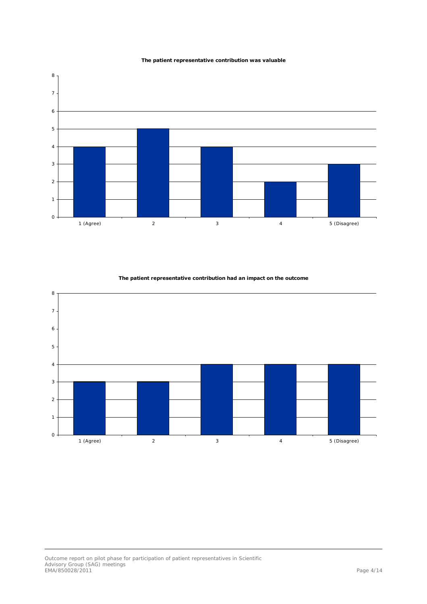





**The patient representative contribution had an impact on the outcome**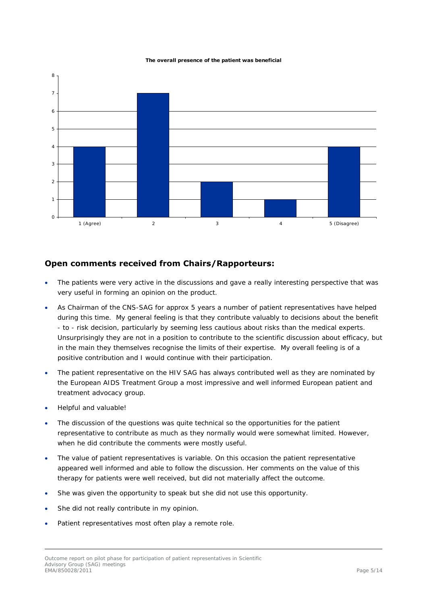#### **The overall presence of the patient was beneficial**



## **Open comments received from Chairs/Rapporteurs:**

- The patients were very active in the discussions and gave a really interesting perspective that was very useful in forming an opinion on the product.
- As Chairman of the CNS-SAG for approx 5 years a number of patient representatives have helped during this time. My general feeling is that they contribute valuably to decisions about the benefit - to - risk decision, particularly by seeming less cautious about risks than the medical experts. Unsurprisingly they are not in a position to contribute to the scientific discussion about efficacy, but in the main they themselves recognise the limits of their expertise. My overall feeling is of a positive contribution and I would continue with their participation.
- The patient representative on the HIV SAG has always contributed well as they are nominated by the European AIDS Treatment Group a most impressive and well informed European patient and treatment advocacy group.
- Helpful and valuable!
- The discussion of the questions was quite technical so the opportunities for the patient representative to contribute as much as they normally would were somewhat limited. However, when he did contribute the comments were mostly useful.
- The value of patient representatives is variable. On this occasion the patient representative appeared well informed and able to follow the discussion. Her comments on the value of this therapy for patients were well received, but did not materially affect the outcome.
- She was given the opportunity to speak but she did not use this opportunity.
- She did not really contribute in my opinion.
- Patient representatives most often play a remote role.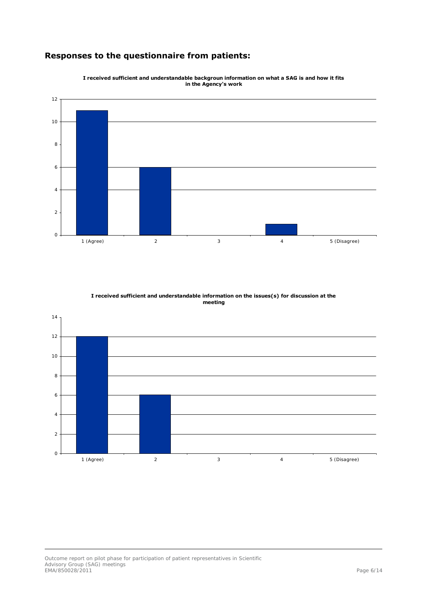# **Responses to the questionnaire from patients:**



**I received sufficient and understandable backgroun information on what a SAG is and how it fits in the Agency's work**

**I received sufficient and understandable information on the issues(s) for discussion at the meeting**

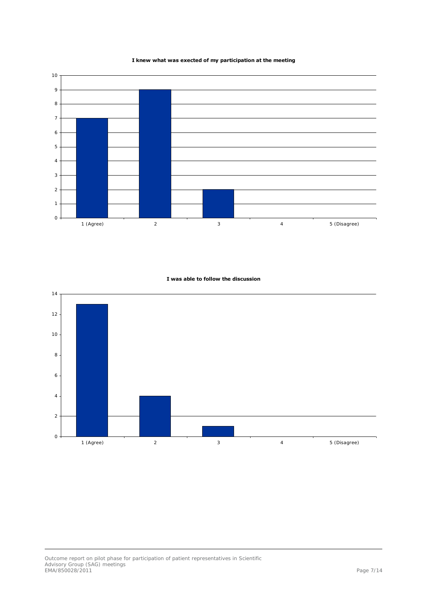#### **I knew what was exected of my participation at the meeting**



### **I was able to follow the discussion**

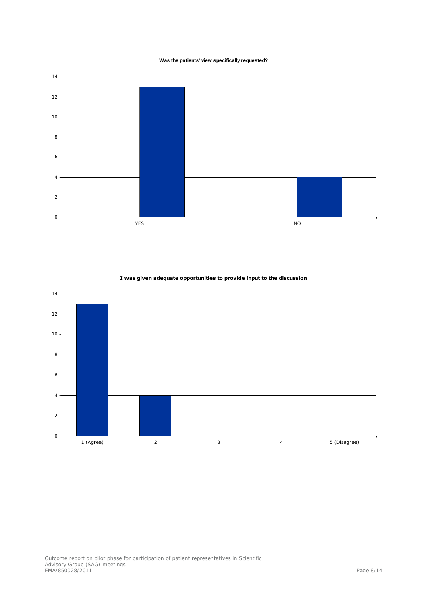#### **Was the patients' view specifically requested?**





**I was given adequate opportunities to provide input to the discussion**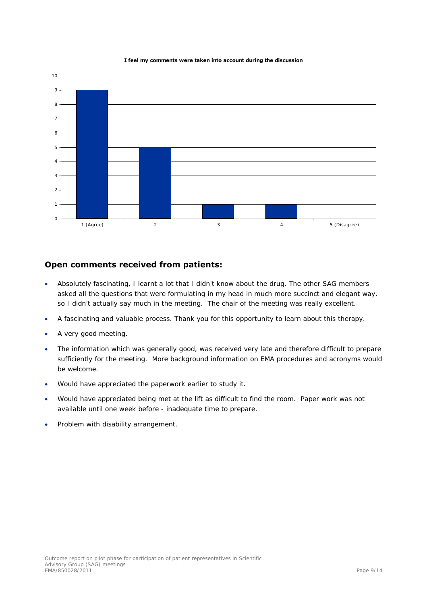#### **I feel my comments were taken into account during the discussion**



### **Open comments received from patients:**

- Absolutely fascinating, I learnt a lot that I didn't know about the drug. The other SAG members asked all the questions that were formulating in my head in much more succinct and elegant way, so I didn't actually say much in the meeting. The chair of the meeting was really excellent.
- A fascinating and valuable process. Thank you for this opportunity to learn about this therapy.
- A very good meeting.
- The information which was generally good, was received very late and therefore difficult to prepare sufficiently for the meeting. More background information on EMA procedures and acronyms would be welcome.
- Would have appreciated the paperwork earlier to study it.
- Would have appreciated being met at the lift as difficult to find the room. Paper work was not available until one week before - inadequate time to prepare.
- Problem with disability arrangement.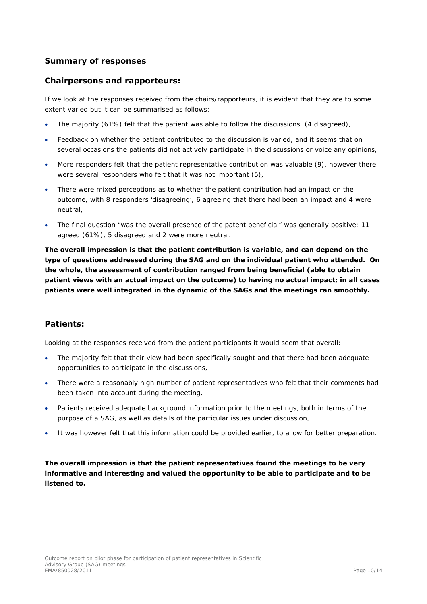## *Summary of responses*

## **Chairpersons and rapporteurs:**

If we look at the responses received from the chairs/rapporteurs, it is evident that they are to some extent varied but it can be summarised as follows:

- The majority (61%) felt that the patient was able to follow the discussions, (4 disagreed),
- Feedback on whether the patient contributed to the discussion is varied, and it seems that on several occasions the patients did not actively participate in the discussions or voice any opinions,
- More responders felt that the patient representative contribution was valuable (9), however there were several responders who felt that it was not important (5),
- There were mixed perceptions as to whether the patient contribution had an impact on the outcome, with 8 responders 'disagreeing', 6 agreeing that there had been an impact and 4 were neutral,
- The final question "was the overall presence of the patent beneficial" was generally positive; 11 agreed (61%), 5 disagreed and 2 were more neutral.

**The overall impression is that the patient contribution is variable, and can depend on the type of questions addressed during the SAG and on the individual patient who attended. On the whole, the assessment of contribution ranged from being beneficial (able to obtain patient views with an actual impact on the outcome) to having no actual impact; in all cases patients were well integrated in the dynamic of the SAGs and the meetings ran smoothly.** 

# **Patients:**

Looking at the responses received from the patient participants it would seem that overall:

- The majority felt that their view had been specifically sought and that there had been adequate opportunities to participate in the discussions,
- There were a reasonably high number of patient representatives who felt that their comments had been taken into account during the meeting,
- Patients received adequate background information prior to the meetings, both in terms of the purpose of a SAG, as well as details of the particular issues under discussion,
- It was however felt that this information could be provided earlier, to allow for better preparation.

**The overall impression is that the patient representatives found the meetings to be very informative and interesting and valued the opportunity to be able to participate and to be listened to.**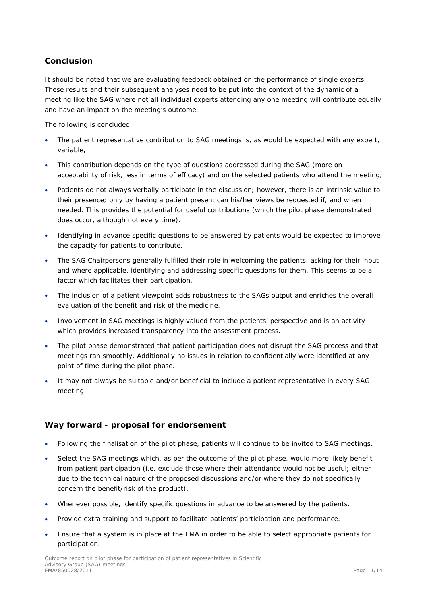# *Conclusion*

It should be noted that we are evaluating feedback obtained on the performance of single experts. These results and their subsequent analyses need to be put into the context of the dynamic of a meeting like the SAG where not all individual experts attending any one meeting will contribute equally and have an impact on the meeting's outcome.

The following is concluded:

- The patient representative contribution to SAG meetings is, as would be expected with any expert, variable,
- This contribution depends on the type of questions addressed during the SAG (more on acceptability of risk, less in terms of efficacy) and on the selected patients who attend the meeting,
- Patients do not always verbally participate in the discussion; however, there is an intrinsic value to their presence; only by having a patient present can his/her views be requested if, and when needed. This provides the potential for useful contributions (which the pilot phase demonstrated does occur, although not every time).
- Identifying in advance specific questions to be answered by patients would be expected to improve the capacity for patients to contribute.
- The SAG Chairpersons generally fulfilled their role in welcoming the patients, asking for their input and where applicable, identifying and addressing specific questions for them. This seems to be a factor which facilitates their participation.
- The inclusion of a patient viewpoint adds robustness to the SAGs output and enriches the overall evaluation of the benefit and risk of the medicine.
- Involvement in SAG meetings is highly valued from the patients' perspective and is an activity which provides increased transparency into the assessment process.
- The pilot phase demonstrated that patient participation does not disrupt the SAG process and that meetings ran smoothly. Additionally no issues in relation to confidentially were identified at any point of time during the pilot phase.
- It may not always be suitable and/or beneficial to include a patient representative in every SAG meeting.

# *Way forward - proposal for endorsement*

- Following the finalisation of the pilot phase, patients will continue to be invited to SAG meetings.
- Select the SAG meetings which, as per the outcome of the pilot phase, would more likely benefit from patient participation (i.e. exclude those where their attendance would not be useful; either due to the technical nature of the proposed discussions and/or where they do not specifically concern the benefit/risk of the product).
- Whenever possible, identify specific questions in advance to be answered by the patients.
- Provide extra training and support to facilitate patients' participation and performance.
- Ensure that a system is in place at the EMA in order to be able to select appropriate patients for participation.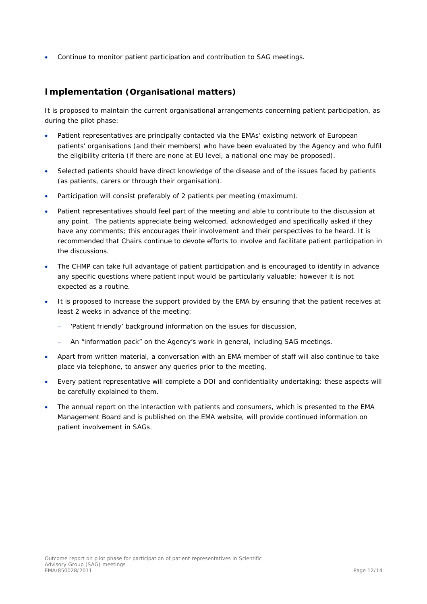Continue to monitor patient participation and contribution to SAG meetings.

# *Implementation (Organisational matters)*

It is proposed to maintain the current organisational arrangements concerning patient participation, as during the pilot phase:

- Patient representatives are principally contacted via the EMAs' existing network of European patients' organisations (and their members) who have been evaluated by the Agency and who fulfil the eligibility criteria (if there are none at EU level, a national one may be proposed).
- Selected patients should have direct knowledge of the disease and of the issues faced by patients (as patients, carers or through their organisation).
- Participation will consist preferably of 2 patients per meeting (maximum).
- Patient representatives should feel part of the meeting and able to contribute to the discussion at any point. The patients appreciate being welcomed, acknowledged and specifically asked if they have any comments; this encourages their involvement and their perspectives to be heard. It is recommended that Chairs continue to devote efforts to involve and facilitate patient participation in the discussions.
- The CHMP can take full advantage of patient participation and is encouraged to identify in advance any specific questions where patient input would be particularly valuable; however it is not expected as a routine.
- It is proposed to increase the support provided by the EMA by ensuring that the patient receives at least 2 weeks in advance of the meeting:
	- 'Patient friendly' background information on the issues for discussion,
	- An "information pack" on the Agency's work in general, including SAG meetings.
- Apart from written material, a conversation with an EMA member of staff will also continue to take place via telephone, to answer any queries prior to the meeting.
- Every patient representative will complete a DOI and confidentiality undertaking; these aspects will be carefully explained to them.
- The annual report on the interaction with patients and consumers, which is presented to the EMA Management Board and is published on the EMA website, will provide continued information on patient involvement in SAGs.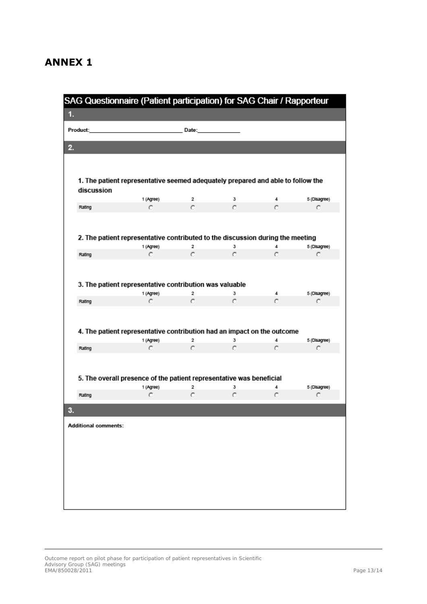# **ANNEX 1**

| SAG Questionnaire (Patient participation) for SAG Chair / Rapporteur<br>1. |                                                                                 |                              |        |          |                   |  |  |
|----------------------------------------------------------------------------|---------------------------------------------------------------------------------|------------------------------|--------|----------|-------------------|--|--|
|                                                                            |                                                                                 |                              |        |          |                   |  |  |
| Product:                                                                   |                                                                                 | Date:                        |        |          |                   |  |  |
|                                                                            |                                                                                 |                              |        |          |                   |  |  |
|                                                                            |                                                                                 |                              |        |          |                   |  |  |
|                                                                            |                                                                                 |                              |        |          |                   |  |  |
|                                                                            | 1. The patient representative seemed adequately prepared and able to follow the |                              |        |          |                   |  |  |
| discussion                                                                 | 1 (Agree)                                                                       | 2                            | з      | 4        | 5 (Disagree)      |  |  |
| Rating                                                                     | O                                                                               | C                            | O      | Ō        | O                 |  |  |
|                                                                            |                                                                                 |                              |        |          |                   |  |  |
|                                                                            |                                                                                 |                              |        |          |                   |  |  |
|                                                                            | 2. The patient representative contributed to the discussion during the meeting  |                              |        |          |                   |  |  |
|                                                                            | 1 (Agree)                                                                       | 2                            | з      | 4        | 5 (Disagree)      |  |  |
| Rating                                                                     | C                                                                               | C.                           | O      | $\sigma$ | $\circ$           |  |  |
|                                                                            |                                                                                 |                              |        |          |                   |  |  |
|                                                                            |                                                                                 |                              |        |          |                   |  |  |
|                                                                            | 3. The patient representative contribution was valuable<br>1 (Agree)            | 2                            | з      | 4        | 5 (Disagree)      |  |  |
| Rating                                                                     | C                                                                               | C.                           | ō      | $\sigma$ | o                 |  |  |
|                                                                            |                                                                                 |                              |        |          |                   |  |  |
|                                                                            |                                                                                 |                              |        |          |                   |  |  |
|                                                                            | 4. The patient representative contribution had an impact on the outcome         |                              |        |          |                   |  |  |
|                                                                            | 1 (Agree)<br>C                                                                  | $\overline{\mathbf{2}}$<br>O | з<br>O | 4<br>C   | 5 (Disagree)<br>C |  |  |
| Rating                                                                     |                                                                                 |                              |        |          |                   |  |  |
|                                                                            |                                                                                 |                              |        |          |                   |  |  |
|                                                                            | 5. The overall presence of the patient representative was beneficial            |                              |        |          |                   |  |  |
|                                                                            | 1 (Agree)                                                                       | 2                            | з      | 4        | 5 (Disagree)      |  |  |
| Rating                                                                     | о                                                                               | с                            | о      | o        | o                 |  |  |
|                                                                            |                                                                                 |                              |        |          |                   |  |  |
|                                                                            |                                                                                 |                              |        |          |                   |  |  |
|                                                                            |                                                                                 |                              |        |          |                   |  |  |
|                                                                            |                                                                                 |                              |        |          |                   |  |  |
|                                                                            |                                                                                 |                              |        |          |                   |  |  |
|                                                                            |                                                                                 |                              |        |          |                   |  |  |
|                                                                            |                                                                                 |                              |        |          |                   |  |  |
| <b>Additional comments:</b>                                                |                                                                                 |                              |        |          |                   |  |  |
|                                                                            |                                                                                 |                              |        |          |                   |  |  |